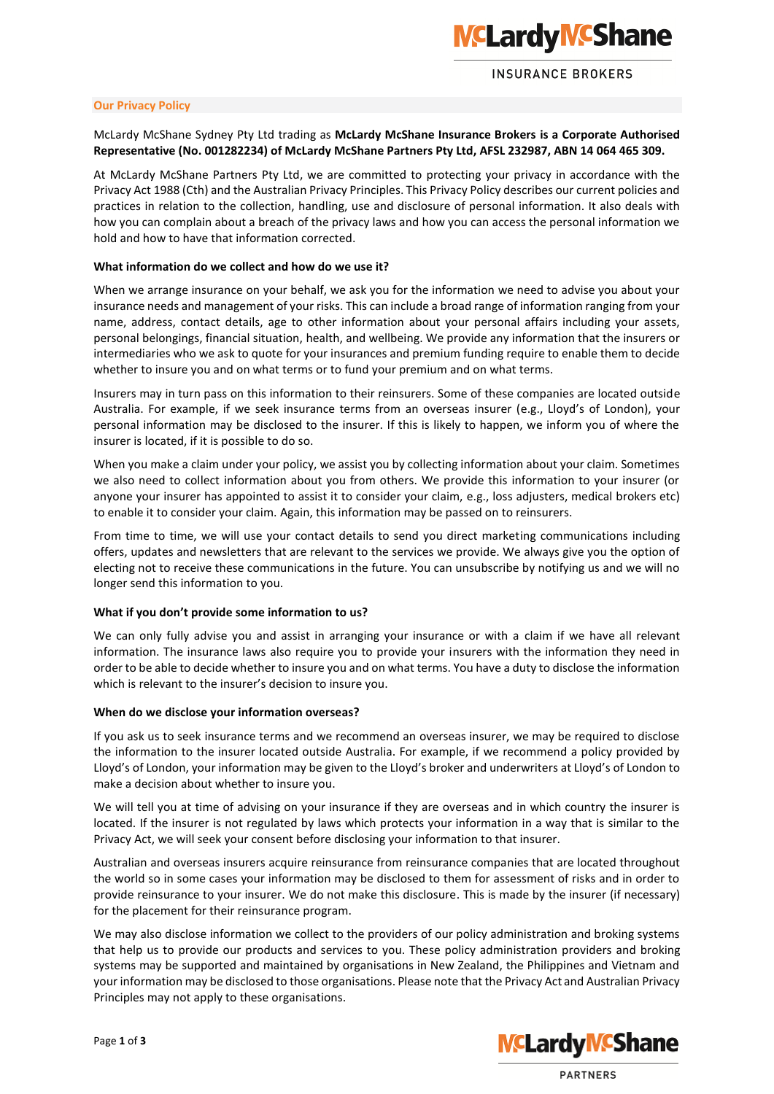

## **INSURANCE BROKERS**

#### **Our Privacy Policy**

## McLardy McShane Sydney Pty Ltd trading as **McLardy McShane Insurance Brokers is a Corporate Authorised Representative (No. 001282234) of McLardy McShane Partners Pty Ltd, AFSL 232987, ABN 14 064 465 309.**

At McLardy McShane Partners Pty Ltd, we are committed to protecting your privacy in accordance with the Privacy Act 1988 (Cth) and the Australian Privacy Principles. This Privacy Policy describes our current policies and practices in relation to the collection, handling, use and disclosure of personal information. It also deals with how you can complain about a breach of the privacy laws and how you can access the personal information we hold and how to have that information corrected.

## **What information do we collect and how do we use it?**

When we arrange insurance on your behalf, we ask you for the information we need to advise you about your insurance needs and management of your risks. This can include a broad range of information ranging from your name, address, contact details, age to other information about your personal affairs including your assets, personal belongings, financial situation, health, and wellbeing. We provide any information that the insurers or intermediaries who we ask to quote for your insurances and premium funding require to enable them to decide whether to insure you and on what terms or to fund your premium and on what terms.

Insurers may in turn pass on this information to their reinsurers. Some of these companies are located outside Australia. For example, if we seek insurance terms from an overseas insurer (e.g., Lloyd's of London), your personal information may be disclosed to the insurer. If this is likely to happen, we inform you of where the insurer is located, if it is possible to do so.

When you make a claim under your policy, we assist you by collecting information about your claim. Sometimes we also need to collect information about you from others. We provide this information to your insurer (or anyone your insurer has appointed to assist it to consider your claim, e.g., loss adjusters, medical brokers etc) to enable it to consider your claim. Again, this information may be passed on to reinsurers.

From time to time, we will use your contact details to send you direct marketing communications including offers, updates and newsletters that are relevant to the services we provide. We always give you the option of electing not to receive these communications in the future. You can unsubscribe by notifying us and we will no longer send this information to you.

## **What if you don't provide some information to us?**

We can only fully advise you and assist in arranging your insurance or with a claim if we have all relevant information. The insurance laws also require you to provide your insurers with the information they need in order to be able to decide whether to insure you and on what terms. You have a duty to disclose the information which is relevant to the insurer's decision to insure you.

#### **When do we disclose your information overseas?**

If you ask us to seek insurance terms and we recommend an overseas insurer, we may be required to disclose the information to the insurer located outside Australia. For example, if we recommend a policy provided by Lloyd's of London, your information may be given to the Lloyd's broker and underwriters at Lloyd's of London to make a decision about whether to insure you.

We will tell you at time of advising on your insurance if they are overseas and in which country the insurer is located. If the insurer is not regulated by laws which protects your information in a way that is similar to the Privacy Act, we will seek your consent before disclosing your information to that insurer.

Australian and overseas insurers acquire reinsurance from reinsurance companies that are located throughout the world so in some cases your information may be disclosed to them for assessment of risks and in order to provide reinsurance to your insurer. We do not make this disclosure. This is made by the insurer (if necessary) for the placement for their reinsurance program.

We may also disclose information we collect to the providers of our policy administration and broking systems that help us to provide our products and services to you. These policy administration providers and broking systems may be supported and maintained by organisations in New Zealand, the Philippines and Vietnam and your information may be disclosed to those organisations. Please note that the Privacy Act and Australian Privacy Principles may not apply to these organisations.



**PARTNERS**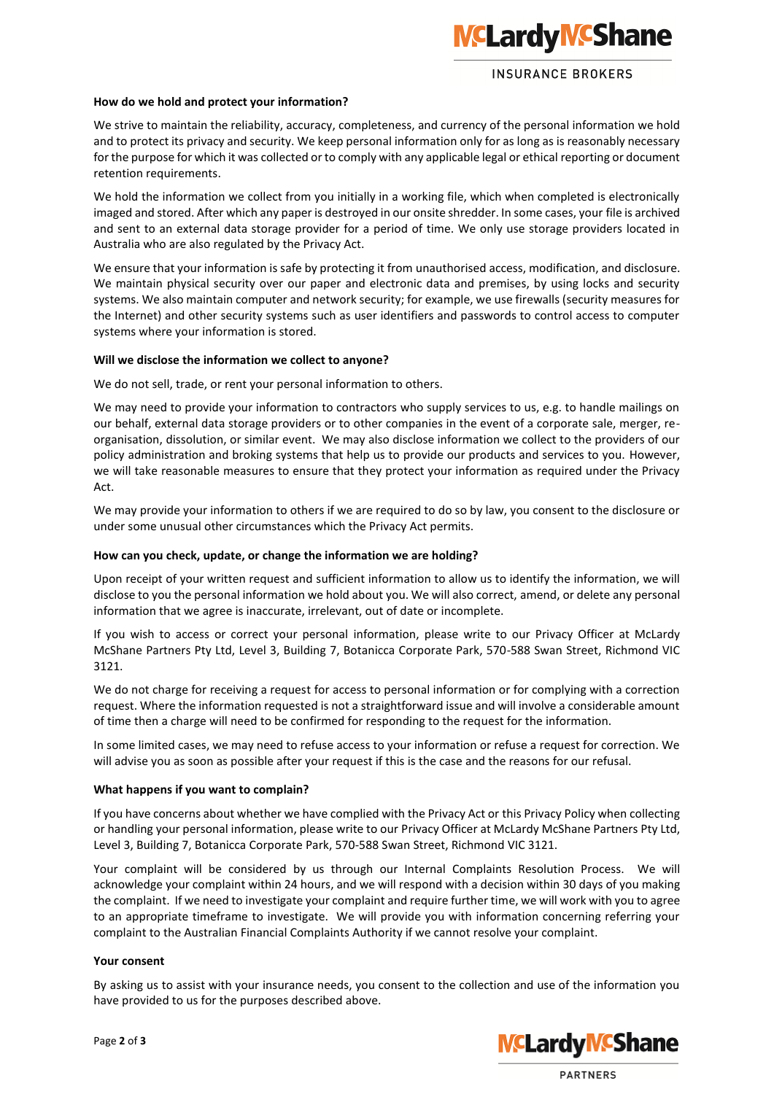# **NCLardy NCShane**

# **INSURANCE BROKERS**

## **How do we hold and protect your information?**

We strive to maintain the reliability, accuracy, completeness, and currency of the personal information we hold and to protect its privacy and security. We keep personal information only for as long as is reasonably necessary for the purpose for which it was collected or to comply with any applicable legal or ethical reporting or document retention requirements.

We hold the information we collect from you initially in a working file, which when completed is electronically imaged and stored. After which any paper is destroyed in our onsite shredder. In some cases, your file is archived and sent to an external data storage provider for a period of time. We only use storage providers located in Australia who are also regulated by the Privacy Act.

We ensure that your information is safe by protecting it from unauthorised access, modification, and disclosure. We maintain physical security over our paper and electronic data and premises, by using locks and security systems. We also maintain computer and network security; for example, we use firewalls (security measures for the Internet) and other security systems such as user identifiers and passwords to control access to computer systems where your information is stored.

## **Will we disclose the information we collect to anyone?**

We do not sell, trade, or rent your personal information to others.

We may need to provide your information to contractors who supply services to us, e.g. to handle mailings on our behalf, external data storage providers or to other companies in the event of a corporate sale, merger, reorganisation, dissolution, or similar event. We may also disclose information we collect to the providers of our policy administration and broking systems that help us to provide our products and services to you. However, we will take reasonable measures to ensure that they protect your information as required under the Privacy Act.

We may provide your information to others if we are required to do so by law, you consent to the disclosure or under some unusual other circumstances which the Privacy Act permits.

## **How can you check, update, or change the information we are holding?**

Upon receipt of your written request and sufficient information to allow us to identify the information, we will disclose to you the personal information we hold about you. We will also correct, amend, or delete any personal information that we agree is inaccurate, irrelevant, out of date or incomplete.

If you wish to access or correct your personal information, please write to our Privacy Officer at McLardy McShane Partners Pty Ltd, Level 3, Building 7, Botanicca Corporate Park, 570-588 Swan Street, Richmond VIC 3121.

We do not charge for receiving a request for access to personal information or for complying with a correction request. Where the information requested is not a straightforward issue and will involve a considerable amount of time then a charge will need to be confirmed for responding to the request for the information.

In some limited cases, we may need to refuse access to your information or refuse a request for correction. We will advise you as soon as possible after your request if this is the case and the reasons for our refusal.

## **What happens if you want to complain?**

If you have concerns about whether we have complied with the Privacy Act or this Privacy Policy when collecting or handling your personal information, please write to our Privacy Officer at McLardy McShane Partners Pty Ltd, Level 3, Building 7, Botanicca Corporate Park, 570-588 Swan Street, Richmond VIC 3121.

Your complaint will be considered by us through our Internal Complaints Resolution Process. We will acknowledge your complaint within 24 hours, and we will respond with a decision within 30 days of you making the complaint. If we need to investigate your complaint and require further time, we will work with you to agree to an appropriate timeframe to investigate. We will provide you with information concerning referring your complaint to the Australian Financial Complaints Authority if we cannot resolve your complaint.

## **Your consent**

By asking us to assist with your insurance needs, you consent to the collection and use of the information you have provided to us for the purposes described above.